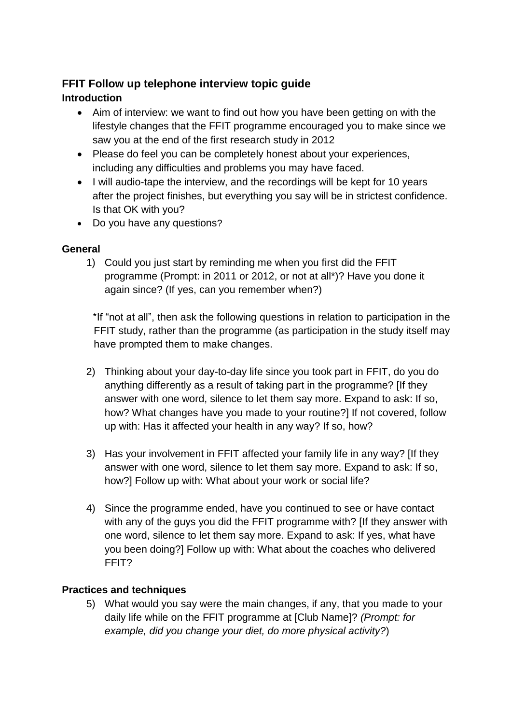# **FFIT Follow up telephone interview topic guide**

# **Introduction**

- Aim of interview: we want to find out how you have been getting on with the lifestyle changes that the FFIT programme encouraged you to make since we saw you at the end of the first research study in 2012
- Please do feel you can be completely honest about your experiences, including any difficulties and problems you may have faced.
- I will audio-tape the interview, and the recordings will be kept for 10 years after the project finishes, but everything you say will be in strictest confidence. Is that OK with you?
- Do you have any questions?

# **General**

1) Could you just start by reminding me when you first did the FFIT programme (Prompt: in 2011 or 2012, or not at all\*)? Have you done it again since? (If yes, can you remember when?)

\*If "not at all", then ask the following questions in relation to participation in the FFIT study, rather than the programme (as participation in the study itself may have prompted them to make changes.

- 2) Thinking about your day-to-day life since you took part in FFIT, do you do anything differently as a result of taking part in the programme? [If they answer with one word, silence to let them say more. Expand to ask: If so, how? What changes have you made to your routine?] If not covered, follow up with: Has it affected your health in any way? If so, how?
- 3) Has your involvement in FFIT affected your family life in any way? [If they answer with one word, silence to let them say more. Expand to ask: If so, how?] Follow up with: What about your work or social life?
- 4) Since the programme ended, have you continued to see or have contact with any of the guys you did the FFIT programme with? If they answer with one word, silence to let them say more. Expand to ask: If yes, what have you been doing?] Follow up with: What about the coaches who delivered FFIT?

### **Practices and techniques**

5) What would you say were the main changes, if any, that you made to your daily life while on the FFIT programme at [Club Name]? *(Prompt: for example, did you change your diet, do more physical activity?*)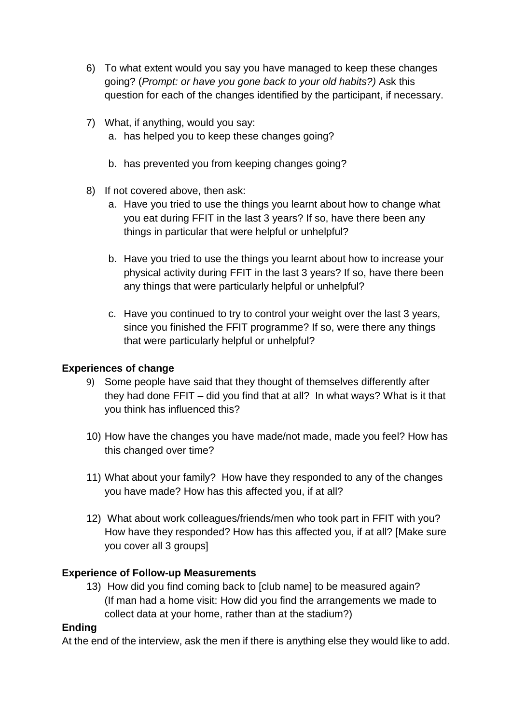- 6) To what extent would you say you have managed to keep these changes going? (*Prompt: or have you gone back to your old habits?)* Ask this question for each of the changes identified by the participant, if necessary.
- 7) What, if anything, would you say:
	- a. has helped you to keep these changes going?
	- b. has prevented you from keeping changes going?
- 8) If not covered above, then ask:
	- a. Have you tried to use the things you learnt about how to change what you eat during FFIT in the last 3 years? If so, have there been any things in particular that were helpful or unhelpful?
	- b. Have you tried to use the things you learnt about how to increase your physical activity during FFIT in the last 3 years? If so, have there been any things that were particularly helpful or unhelpful?
	- c. Have you continued to try to control your weight over the last 3 years, since you finished the FFIT programme? If so, were there any things that were particularly helpful or unhelpful?

#### **Experiences of change**

- 9) Some people have said that they thought of themselves differently after they had done FFIT – did you find that at all? In what ways? What is it that you think has influenced this?
- 10) How have the changes you have made/not made, made you feel? How has this changed over time?
- 11) What about your family? How have they responded to any of the changes you have made? How has this affected you, if at all?
- 12) What about work colleagues/friends/men who took part in FFIT with you? How have they responded? How has this affected you, if at all? [Make sure you cover all 3 groups]

#### **Experience of Follow-up Measurements**

13) How did you find coming back to [club name] to be measured again? (If man had a home visit: How did you find the arrangements we made to collect data at your home, rather than at the stadium?)

#### **Ending**

At the end of the interview, ask the men if there is anything else they would like to add.